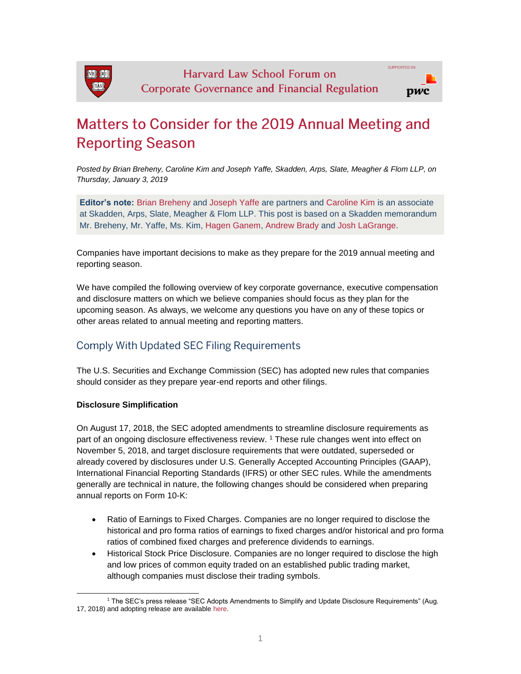

# Matters to Consider for the 2019 Annual Meeting and **Reporting Season**

*Posted by Brian Breheny, Caroline Kim and Joseph Yaffe, Skadden, Arps, Slate, Meagher & Flom LLP, on Thursday, January 3, 2019*

**Editor's note:** [Brian Breheny](https://www.skadden.com/professionals/b/breheny-brian-v) and [Joseph Yaffe](https://www.skadden.com/professionals/y/yaffe-joseph-m) are partners and [Caroline Kim](https://www.skadden.com/professionals/k/kim-caroline-s) is an associate at Skadden, Arps, Slate, Meagher & Flom LLP. This post is based on a Skadden memorandum Mr. Breheny, Mr. Yaffe, Ms. Kim, [Hagen Ganem,](https://www.skadden.com/professionals/g/ganem-hagen-j) [Andrew Brady](https://www.skadden.com/professionals/b/brady-andrew-j) and [Josh LaGrange.](https://www.skadden.com/professionals/l/lagrange-josh)

Companies have important decisions to make as they prepare for the 2019 annual meeting and reporting season.

We have compiled the following overview of key corporate governance, executive compensation and disclosure matters on which we believe companies should focus as they plan for the upcoming season. As always, we welcome any questions you have on any of these topics or other areas related to annual meeting and reporting matters.

# **Comply With Updated SEC Filing Requirements**

The U.S. Securities and Exchange Commission (SEC) has adopted new rules that companies should consider as they prepare year-end reports and other filings.

#### **Disclosure Simplification**

On August 17, 2018, the SEC adopted amendments to streamline disclosure requirements as part of an ongoing disclosure effectiveness review. [1](https://corpgov.law.harvard.edu/?p=113711#1) These rule changes went into effect on November 5, 2018, and target disclosure requirements that were outdated, superseded or already covered by disclosures under U.S. Generally Accepted Accounting Principles (GAAP), International Financial Reporting Standards (IFRS) or other SEC rules. While the amendments generally are technical in nature, the following changes should be considered when preparing annual reports on Form 10-K:

- Ratio of Earnings to Fixed Charges. Companies are no longer required to disclose the historical and pro forma ratios of earnings to fixed charges and/or historical and pro forma ratios of combined fixed charges and preference dividends to earnings.
- Historical Stock Price Disclosure. Companies are no longer required to disclose the high and low prices of common equity traded on an established public trading market, although companies must disclose their trading symbols.

l <sup>1</sup> The SEC's press release "SEC Adopts Amendments to Simplify and Update Disclosure Requirements" (Aug. 17, 2018) and adopting release are available [here.](https://www.sec.gov/news/press-release/2018-156)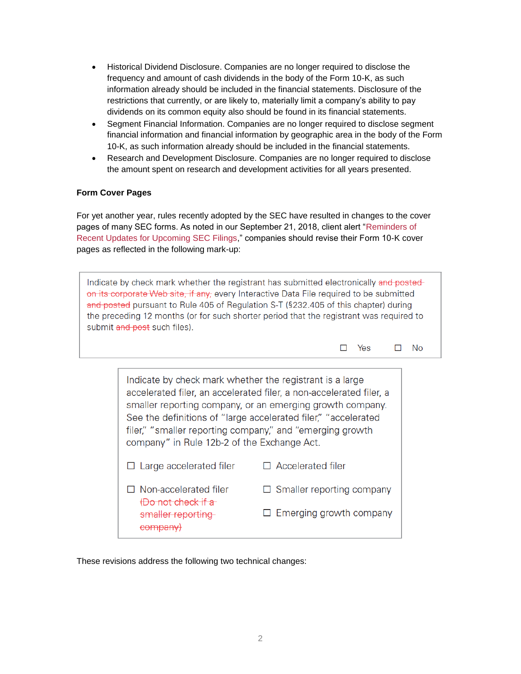- Historical Dividend Disclosure. Companies are no longer required to disclose the frequency and amount of cash dividends in the body of the Form 10-K, as such information already should be included in the financial statements. Disclosure of the restrictions that currently, or are likely to, materially limit a company's ability to pay dividends on its common equity also should be found in its financial statements.
- Segment Financial Information. Companies are no longer required to disclose segment financial information and financial information by geographic area in the body of the Form 10-K, as such information already should be included in the financial statements.
- Research and Development Disclosure. Companies are no longer required to disclose the amount spent on research and development activities for all years presented.

## **Form Cover Pages**

For yet another year, rules recently adopted by the SEC have resulted in changes to the cover pages of many SEC forms. As noted in our September 21, 2018, client alert ["Reminders of](https://www.skadden.com/insights/publications/2018/09/reminders-of-recent-updates-for-upcoming) [Recent Updates for Upcoming SEC Filings,](https://www.skadden.com/insights/publications/2018/09/reminders-of-recent-updates-for-upcoming)" companies should revise their Form 10-K cover pages as reflected in the following mark-up:

Indicate by check mark whether the registrant has submitted electronically and postedon its corporate Web site, if any, every Interactive Data File required to be submitted and posted pursuant to Rule 405 of Regulation S-T (§232.405 of this chapter) during the preceding 12 months (or for such shorter period that the registrant was required to submit and post such files).

> $\square$  Yes  $\Box$ No

Indicate by check mark whether the registrant is a large accelerated filer, an accelerated filer, a non-accelerated filer, a smaller reporting company, or an emerging growth company. See the definitions of "large accelerated filer," "accelerated filer," "smaller reporting company," and "emerging growth company" in Rule 12b-2 of the Exchange Act.  $\Box$  Accelerated filer  $\Box$  Large accelerated filer  $\Box$  Non-accelerated filer  $\Box$  Smaller reporting company (Do not check if a  $\Box$  Emerging growth company smaller reporting company)

These revisions address the following two technical changes: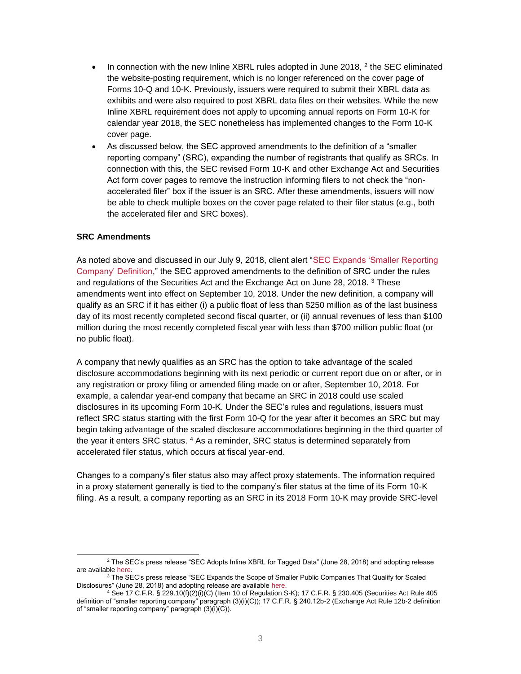- $\bullet$  In connection with the new Inline XBRL rules adopted in June [2](https://corpgov.law.harvard.edu/?p=113711#2)018,  $^2$  the SEC eliminated the website-posting requirement, which is no longer referenced on the cover page of Forms 10-Q and 10-K. Previously, issuers were required to submit their XBRL data as exhibits and were also required to post XBRL data files on their websites. While the new Inline XBRL requirement does not apply to upcoming annual reports on Form 10-K for calendar year 2018, the SEC nonetheless has implemented changes to the Form 10-K cover page.
- As discussed below, the SEC approved amendments to the definition of a "smaller reporting company" (SRC), expanding the number of registrants that qualify as SRCs. In connection with this, the SEC revised Form 10-K and other Exchange Act and Securities Act form cover pages to remove the instruction informing filers to not check the "nonaccelerated filer" box if the issuer is an SRC. After these amendments, issuers will now be able to check multiple boxes on the cover page related to their filer status (e.g., both the accelerated filer and SRC boxes).

#### **SRC Amendments**

l

As noted above and discussed in our July 9, 2018, client alert ["SEC Expands 'Smaller Reporting](https://www.skadden.com/insights/publications/2018/07/capital-markets-alert-sec-expands-smaller)  [Company' Definition,](https://www.skadden.com/insights/publications/2018/07/capital-markets-alert-sec-expands-smaller)" the SEC approved amendments to the definition of SRC under the rules and regulations of the Securities Act and the Exchange Act on June 28, 2018. <sup>[3](https://corpgov.law.harvard.edu/?p=113711#3)</sup> These amendments went into effect on September 10, 2018. Under the new definition, a company will qualify as an SRC if it has either (i) a public float of less than \$250 million as of the last business day of its most recently completed second fiscal quarter, or (ii) annual revenues of less than \$100 million during the most recently completed fiscal year with less than \$700 million public float (or no public float).

A company that newly qualifies as an SRC has the option to take advantage of the scaled disclosure accommodations beginning with its next periodic or current report due on or after, or in any registration or proxy filing or amended filing made on or after, September 10, 2018. For example, a calendar year-end company that became an SRC in 2018 could use scaled disclosures in its upcoming Form 10-K. Under the SEC's rules and regulations, issuers must reflect SRC status starting with the first Form 10-Q for the year after it becomes an SRC but may begin taking advantage of the scaled disclosure accommodations beginning in the third quarter of the year it enters SRC status. [4](https://corpgov.law.harvard.edu/?p=113711#4) As a reminder, SRC status is determined separately from accelerated filer status, which occurs at fiscal year-end.

Changes to a company's filer status also may affect proxy statements. The information required in a proxy statement generally is tied to the company's filer status at the time of its Form 10-K filing. As a result, a company reporting as an SRC in its 2018 Form 10-K may provide SRC-level

<sup>2</sup> The SEC's press release "SEC Adopts Inline XBRL for Tagged Data" (June 28, 2018) and adopting release are available [here.](https://www.sec.gov/news/press-release/2018-117)

<sup>&</sup>lt;sup>3</sup> The SEC's press release "SEC Expands the Scope of Smaller Public Companies That Qualify for Scaled Disclosures" (June 28, 2018) and adopting release are available [here.](https://www.sec.gov/news/press-release/2018-116)

<sup>4</sup> See 17 C.F.R. § 229.10(f)(2)(i)(C) (Item 10 of Regulation S-K); 17 C.F.R. § 230.405 (Securities Act Rule 405 definition of "smaller reporting company" paragraph (3)(i)(C)); 17 C.F.R. § 240.12b-2 (Exchange Act Rule 12b-2 definition of "smaller reporting company" paragraph (3)(i)(C)).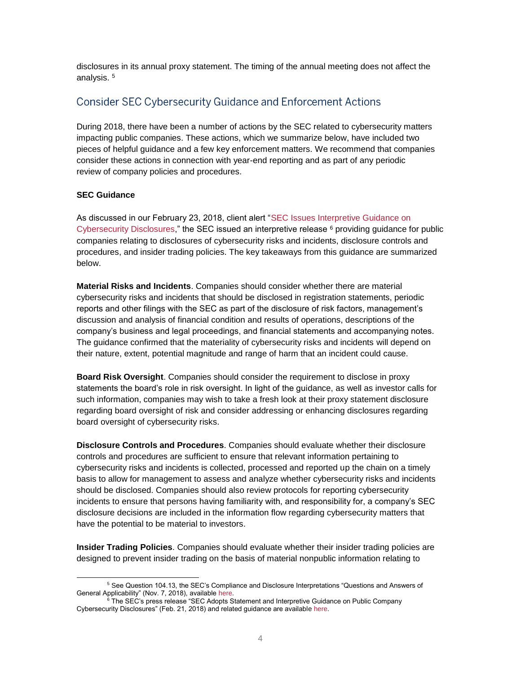disclosures in its annual proxy statement. The timing of the annual meeting does not affect the analysis.<sup>[5](https://corpgov.law.harvard.edu/?p=113711#5)</sup>

# **Consider SEC Cybersecurity Guidance and Enforcement Actions**

During 2018, there have been a number of actions by the SEC related to cybersecurity matters impacting public companies. These actions, which we summarize below, have included two pieces of helpful guidance and a few key enforcement matters. We recommend that companies consider these actions in connection with year-end reporting and as part of any periodic review of company policies and procedures.

## **SEC Guidance**

As discussed in our February 23, 2018, client alert ["SEC Issues Interpretive Guidance on](https://www.skadden.com/insights/publications/2018/02/sec-issues-interpretive-guidance)  [Cybersecurity Disclosures,](https://www.skadden.com/insights/publications/2018/02/sec-issues-interpretive-guidance)" the SEC issued an interpretive release  $6$  providing guidance for public companies relating to disclosures of cybersecurity risks and incidents, disclosure controls and procedures, and insider trading policies. The key takeaways from this guidance are summarized below.

**Material Risks and Incidents**. Companies should consider whether there are material cybersecurity risks and incidents that should be disclosed in registration statements, periodic reports and other filings with the SEC as part of the disclosure of risk factors, management's discussion and analysis of financial condition and results of operations, descriptions of the company's business and legal proceedings, and financial statements and accompanying notes. The guidance confirmed that the materiality of cybersecurity risks and incidents will depend on their nature, extent, potential magnitude and range of harm that an incident could cause.

**Board Risk Oversight**. Companies should consider the requirement to disclose in proxy statements the board's role in risk oversight. In light of the guidance, as well as investor calls for such information, companies may wish to take a fresh look at their proxy statement disclosure regarding board oversight of risk and consider addressing or enhancing disclosures regarding board oversight of cybersecurity risks.

**Disclosure Controls and Procedures**. Companies should evaluate whether their disclosure controls and procedures are sufficient to ensure that relevant information pertaining to cybersecurity risks and incidents is collected, processed and reported up the chain on a timely basis to allow for management to assess and analyze whether cybersecurity risks and incidents should be disclosed. Companies should also review protocols for reporting cybersecurity incidents to ensure that persons having familiarity with, and responsibility for, a company's SEC disclosure decisions are included in the information flow regarding cybersecurity matters that have the potential to be material to investors.

**Insider Trading Policies**. Companies should evaluate whether their insider trading policies are designed to prevent insider trading on the basis of material nonpublic information relating to

l <sup>5</sup> See Question 104.13, the SEC's Compliance and Disclosure Interpretations "Questions and Answers of General Applicability" (Nov. 7, 2018), available [here.](https://www.sec.gov/divisions/corpfin/guidance/exchangeactforms-interps.htm)

<sup>6</sup> The SEC's press release "SEC Adopts Statement and Interpretive Guidance on Public Company Cybersecurity Disclosures" (Feb. 21, 2018) and related guidance are available [here.](https://www.sec.gov/news/press-release/2018-22)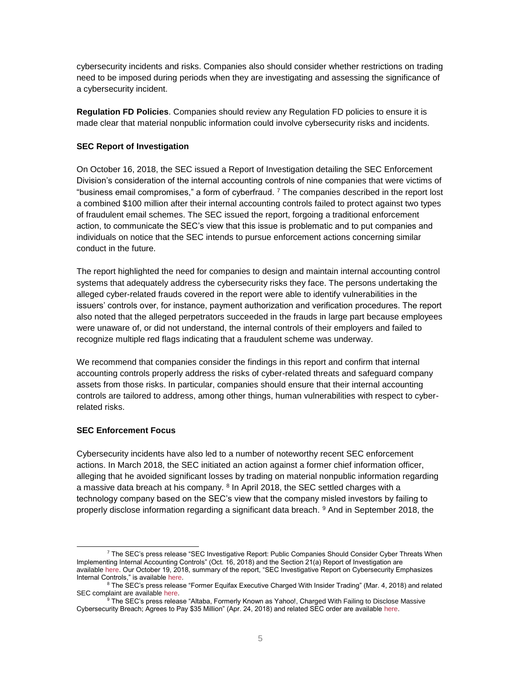cybersecurity incidents and risks. Companies also should consider whether restrictions on trading need to be imposed during periods when they are investigating and assessing the significance of a cybersecurity incident.

**Regulation FD Policies**. Companies should review any Regulation FD policies to ensure it is made clear that material nonpublic information could involve cybersecurity risks and incidents.

#### **SEC Report of Investigation**

On October 16, 2018, the SEC issued a Report of Investigation detailing the SEC Enforcement Division's consideration of the internal accounting controls of nine companies that were victims of "business email compromises," a form of cyberfraud.  $7$  The companies described in the report lost a combined \$100 million after their internal accounting controls failed to protect against two types of fraudulent email schemes. The SEC issued the report, forgoing a traditional enforcement action, to communicate the SEC's view that this issue is problematic and to put companies and individuals on notice that the SEC intends to pursue enforcement actions concerning similar conduct in the future.

The report highlighted the need for companies to design and maintain internal accounting control systems that adequately address the cybersecurity risks they face. The persons undertaking the alleged cyber-related frauds covered in the report were able to identify vulnerabilities in the issuers' controls over, for instance, payment authorization and verification procedures. The report also noted that the alleged perpetrators succeeded in the frauds in large part because employees were unaware of, or did not understand, the internal controls of their employers and failed to recognize multiple red flags indicating that a fraudulent scheme was underway.

We recommend that companies consider the findings in this report and confirm that internal accounting controls properly address the risks of cyber-related threats and safeguard company assets from those risks. In particular, companies should ensure that their internal accounting controls are tailored to address, among other things, human vulnerabilities with respect to cyberrelated risks.

#### **SEC Enforcement Focus**

Cybersecurity incidents have also led to a number of noteworthy recent SEC enforcement actions. In March 2018, the SEC initiated an action against a former chief information officer, alleging that he avoided significant losses by trading on material nonpublic information regarding a massive data breach at his company. <sup>[8](https://corpgov.law.harvard.edu/?p=113711#8)</sup> In April 2018, the SEC settled charges with a technology company based on the SEC's view that the company misled investors by failing to properly disclose information regarding a significant data breach. [9](https://corpgov.law.harvard.edu/?p=113711#9) And in September 2018, the

l <sup>7</sup> The SEC's press release "SEC Investigative Report: Public Companies Should Consider Cyber Threats When Implementing Internal Accounting Controls" (Oct. 16, 2018) and the Section 21(a) Report of Investigation are available [here.](https://www.sec.gov/news/press-release/2018-236) Our October 19, 2018, summary of the report, "SEC Investigative Report on Cybersecurity Emphasizes Internal Controls," is available [here.](https://www.skadden.com/insights/publications/2018/10/sec-investigative-report-on-cybersecurity)

<sup>&</sup>lt;sup>8</sup> The SEC's press release "Former Equifax Executive Charged With Insider Trading" (Mar. 4, 2018) and related SEC complaint are available [here.](https://www.sec.gov/news/press-release/2018-40)

<sup>&</sup>lt;sup>9</sup> The SEC's press release "Altaba, Formerly Known as Yahoo!, Charged With Failing to Disclose Massive Cybersecurity Breach; Agrees to Pay \$35 Million" (Apr. 24, 2018) and related SEC order are available [here.](https://www.sec.gov/news/press-release/2018-71)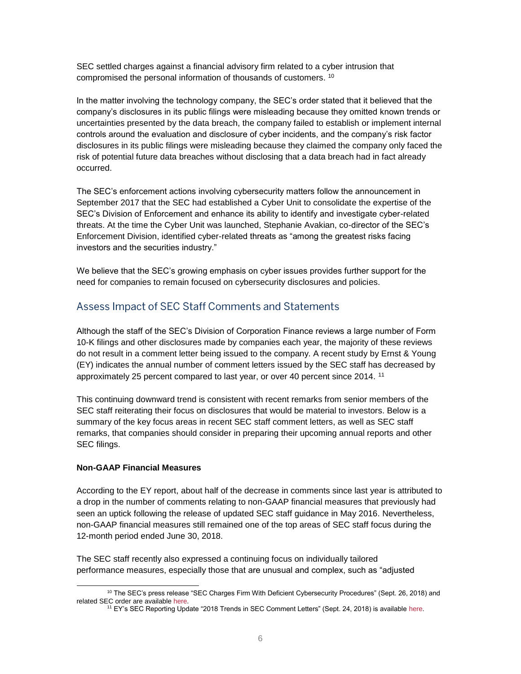SEC settled charges against a financial advisory firm related to a cyber intrusion that compromised the personal information of thousands of customers. [10](https://corpgov.law.harvard.edu/?p=113711#10)

In the matter involving the technology company, the SEC's order stated that it believed that the company's disclosures in its public filings were misleading because they omitted known trends or uncertainties presented by the data breach, the company failed to establish or implement internal controls around the evaluation and disclosure of cyber incidents, and the company's risk factor disclosures in its public filings were misleading because they claimed the company only faced the risk of potential future data breaches without disclosing that a data breach had in fact already occurred.

The SEC's enforcement actions involving cybersecurity matters follow the announcement in September 2017 that the SEC had established a Cyber Unit to consolidate the expertise of the SEC's Division of Enforcement and enhance its ability to identify and investigate cyber-related threats. At the time the Cyber Unit was launched, Stephanie Avakian, co-director of the SEC's Enforcement Division, identified cyber-related threats as "among the greatest risks facing investors and the securities industry."

We believe that the SEC's growing emphasis on cyber issues provides further support for the need for companies to remain focused on cybersecurity disclosures and policies.

# Assess Impact of SEC Staff Comments and Statements

Although the staff of the SEC's Division of Corporation Finance reviews a large number of Form 10-K filings and other disclosures made by companies each year, the majority of these reviews do not result in a comment letter being issued to the company. A recent study by Ernst & Young (EY) indicates the annual number of comment letters issued by the SEC staff has decreased by approximately 25 percent compared to last year, or over 40 percent since 2014. [11](https://corpgov.law.harvard.edu/?p=113711#11)

This continuing downward trend is consistent with recent remarks from senior members of the SEC staff reiterating their focus on disclosures that would be material to investors. Below is a summary of the key focus areas in recent SEC staff comment letters, as well as SEC staff remarks, that companies should consider in preparing their upcoming annual reports and other SEC filings.

#### **Non-GAAP Financial Measures**

According to the EY report, about half of the decrease in comments since last year is attributed to a drop in the number of comments relating to non-GAAP financial measures that previously had seen an uptick following the release of updated SEC staff guidance in May 2016. Nevertheless, non-GAAP financial measures still remained one of the top areas of SEC staff focus during the 12-month period ended June 30, 2018.

The SEC staff recently also expressed a continuing focus on individually tailored performance measures, especially those that are unusual and complex, such as "adjusted

l <sup>10</sup> The SEC's press release "SEC Charges Firm With Deficient Cybersecurity Procedures" (Sept. 26, 2018) and related SEC order are available [here.](https://www.sec.gov/news/press-release/2018-213)

<sup>11</sup> EY's SEC Reporting Update "2018 Trends in SEC Comment Letters" (Sept. 24, 2018) is available [here.](http://www.skadden.com/-/media/files/publications/2018/11/matters-to-consider-for-the-2019-annual-meeting/fn11secreportingupdate04322181uscommentstrends24se.pdf)